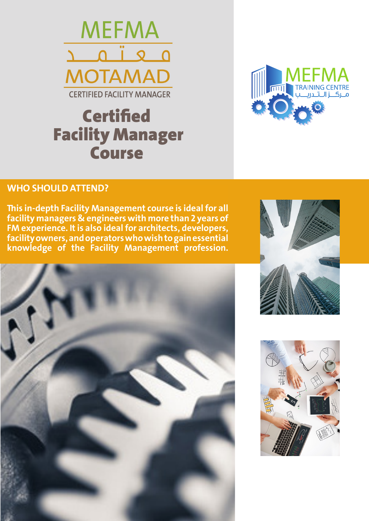

# **Certified**  Facility Manager Course



### **WHO SHOULD ATTEND?**

**This in-depth Facility Management course is ideal for all facility managers & engineers with more than 2 years of FM experience. It is also ideal for architects, developers, facility owners, and operators who wish to gain essential knowledge of the Facility Management profession.**





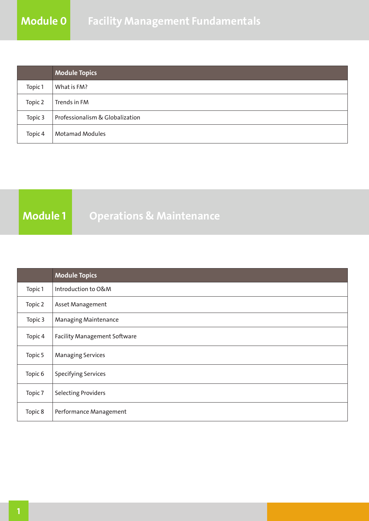|         | <b>Module Topics</b>            |
|---------|---------------------------------|
| Topic 1 | What is FM?                     |
| Topic 2 | Trends in FM                    |
| Topic 3 | Professionalism & Globalization |
| Topic 4 | <b>Motamad Modules</b>          |

## **Module 1** Operations & Maintenance

|         | <b>Module Topics</b>                |
|---------|-------------------------------------|
| Topic 1 | Introduction to O&M                 |
| Topic 2 | Asset Management                    |
| Topic 3 | Managing Maintenance                |
| Topic 4 | <b>Facility Management Software</b> |
| Topic 5 | <b>Managing Services</b>            |
| Topic 6 | <b>Specifying Services</b>          |
| Topic 7 | <b>Selecting Providers</b>          |
| Topic 8 | Performance Management              |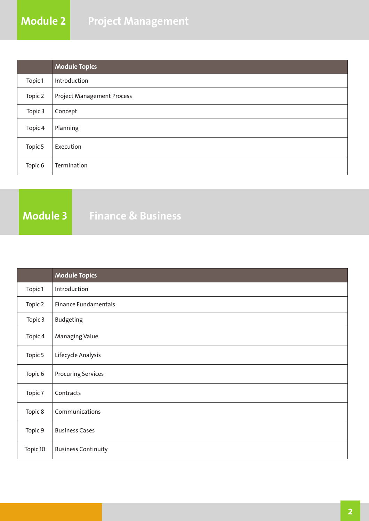|         | <b>Module Topics</b>              |
|---------|-----------------------------------|
| Topic 1 | Introduction                      |
| Topic 2 | <b>Project Management Process</b> |
| Topic 3 | Concept                           |
| Topic 4 | Planning                          |
| Topic 5 | Execution                         |
| Topic 6 | Termination                       |

**Module 3 Finance & Business**

|          | <b>Module Topics</b>        |  |
|----------|-----------------------------|--|
| Topic 1  | Introduction                |  |
| Topic 2  | <b>Finance Fundamentals</b> |  |
| Topic 3  | <b>Budgeting</b>            |  |
| Topic 4  | Managing Value              |  |
| Topic 5  | Lifecycle Analysis          |  |
| Topic 6  | <b>Procuring Services</b>   |  |
| Topic 7  | Contracts                   |  |
| Topic 8  | Communications              |  |
| Topic 9  | <b>Business Cases</b>       |  |
| Topic 10 | <b>Business Continuity</b>  |  |